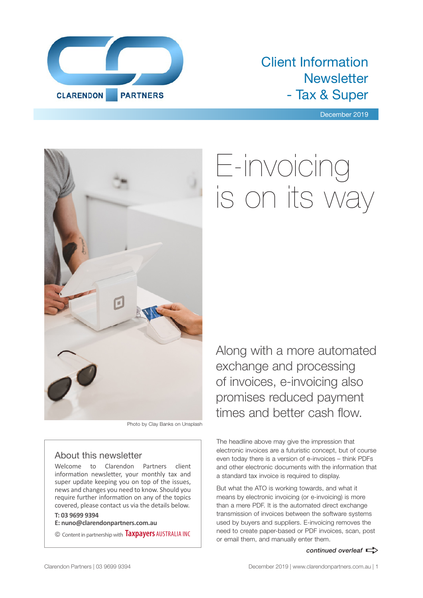

### Client Information **Newsletter** - Tax & Super

December 2019



#### Photo by Clay Banks on Unsplash

#### About this newsletter

Welcome to Clarendon Partners client information newsletter, your monthly tax and super update keeping you on top of the issues, news and changes you need to know. Should you require further information on any of the topics covered, please contact us via the details below.

#### **T: 03 9699 9394**

**E: nuno@clarendonpartners.com.au**

© Content in partnership with **Taxpayers** AUSTRALIA INC

# E-invoicing is on its way

Along with a more automated exchange and processing of invoices, e-invoicing also promises reduced payment times and better cash flow.

The headline above may give the impression that electronic invoices are a futuristic concept, but of course even today there is a version of e-invoices – think PDFs and other electronic documents with the information that a standard tax invoice is required to display.

But what the ATO is working towards, and what it means by electronic invoicing (or e-invoicing) is more than a mere PDF. It is the automated direct exchange transmission of invoices between the software systems used by buyers and suppliers. E-invoicing removes the need to create paper-based or PDF invoices, scan, post or email them, and manually enter them.

#### *continued overleaf*  $\Rightarrow$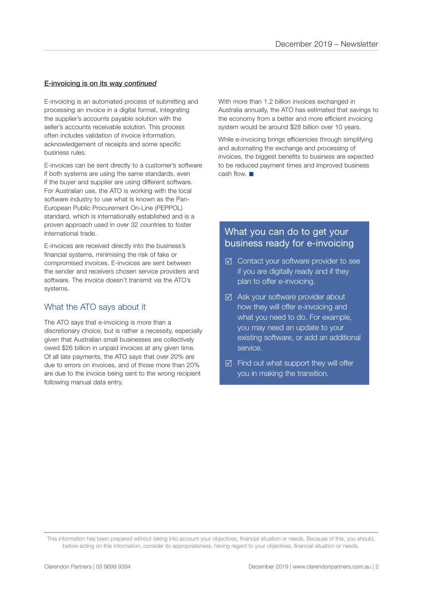#### E-invoicing is on its way *continued*

E-invoicing is an automated process of submitting and processing an invoice in a digital format, integrating the supplier's accounts payable solution with the seller's accounts receivable solution. This process often includes validation of invoice information, acknowledgement of receipts and some specific business rules.

E-invoices can be sent directly to a customer's software if both systems are using the same standards, even if the buyer and supplier are using different software. For Australian use, the ATO is working with the local software industry to use what is known as the Pan-European Public Procurement On-Line (PEPPOL) standard, which is internationally established and is a proven approach used in over 32 countries to foster international trade.

E-invoices are received directly into the business's financial systems, minimising the risk of fake or compromised invoices. E-invoices are sent between the sender and receivers chosen service providers and software. The invoice doesn't transmit via the ATO's systems.

#### What the ATO says about it

The ATO says that e-invoicing is more than a discretionary choice, but is rather a necessity, especially given that Australian small businesses are collectively owed \$26 billion in unpaid invoices at any given time. Of all late payments, the ATO says that over 20% are due to errors on invoices, and of those more than 20% are due to the invoice being sent to the wrong recipient following manual data entry.

With more than 1.2 billion invoices exchanged in Australia annually, the ATO has estimated that savings to the economy from a better and more efficient invoicing system would be around \$28 billion over 10 years.

While e-invoicing brings efficiencies through simplifying and automating the exchange and processing of invoices, the biggest benefits to business are expected to be reduced payment times and improved business cash flow.  $\blacksquare$ 

#### What you can do to get your business ready for e-invoicing

- ⊠ Contact your software provider to see if you are digitally ready and if they plan to offer e-invoicing.
- $\boxtimes$  Ask your software provider about how they will offer e-invoicing and what you need to do. For example, you may need an update to your existing software, or add an additional service.
- $\boxtimes$  Find out what support they will offer you in making the transition.

This information has been prepared without taking into account your objectives, financial situation or needs. Because of this, you should, before acting on this information, consider its appropriateness, having regard to your objectives, financial situation or needs.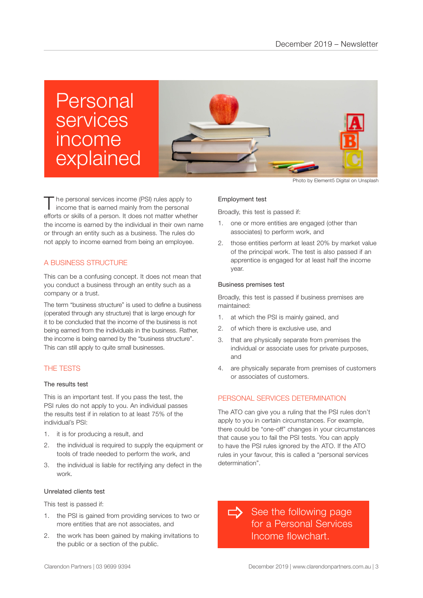### Personal services income explained



The personal services income (PSI) rules apply to income that is earned mainly from the personal efforts or skills of a person. It does not matter whether the income is earned by the individual in their own name or through an entity such as a business. The rules do not apply to income earned from being an employee.

#### A BUSINESS STRUCTURE

This can be a confusing concept. It does not mean that you conduct a business through an entity such as a company or a trust.

The term "business structure" is used to define a business (operated through any structure) that is large enough for it to be concluded that the income of the business is not being earned from the individuals in the business. Rather, the income is being earned by the "business structure". This can still apply to quite small businesses.

#### THE TESTS

#### The results test

This is an important test. If you pass the test, the PSI rules do not apply to you. An individual passes the results test if in relation to at least 75% of the individual's PSI:

- 1. it is for producing a result, and
- 2. the individual is required to supply the equipment or tools of trade needed to perform the work, and
- 3. the individual is liable for rectifying any defect in the work.

#### Unrelated clients test

This test is passed if:

- 1. the PSI is gained from providing services to two or more entities that are not associates, and
- 2. the work has been gained by making invitations to the public or a section of the public.

Photo by Element5 Digital on Unsplash

#### Employment test

Broadly, this test is passed if:

- 1. one or more entities are engaged (other than associates) to perform work, and
- 2. those entities perform at least 20% by market value of the principal work. The test is also passed if an apprentice is engaged for at least half the income year.

#### Business premises test

Broadly, this test is passed if business premises are maintained:

- 1. at which the PSI is mainly gained, and
- 2. of which there is exclusive use, and
- 3. that are physically separate from premises the individual or associate uses for private purposes, and
- 4. are physically separate from premises of customers or associates of customers.

#### PERSONAL SERVICES DETERMINATION

The ATO can give you a ruling that the PSI rules don't apply to you in certain circumstances. For example, there could be "one-off" changes in your circumstances that cause you to fail the PSI tests. You can apply to have the PSI rules ignored by the ATO. If the ATO rules in your favour, this is called a "personal services determination".

See the following page for a Personal Services Income flowchart.  $\Rightarrow$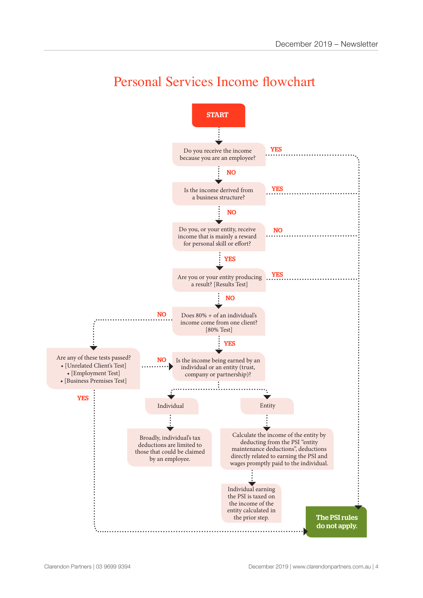

### Personal Services Income flowchart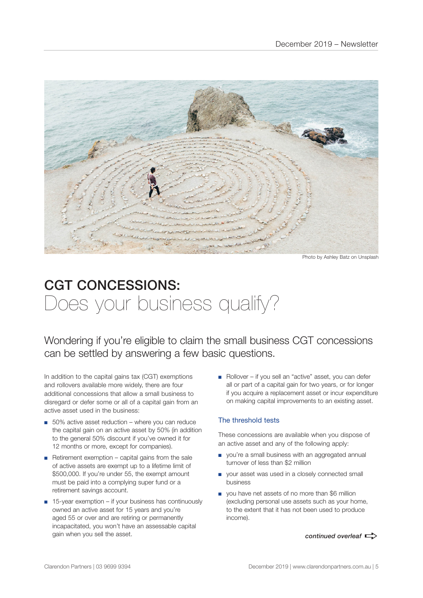

Photo by Ashley Batz on Unsplash

### CGT CONCESSIONS: Does your business qualify?

Wondering if you're eligible to claim the small business CGT concessions can be settled by answering a few basic questions.

In addition to the capital gains tax (CGT) exemptions and rollovers available more widely, there are four additional concessions that allow a small business to disregard or defer some or all of a capital gain from an active asset used in the business:

- 50% active asset reduction where you can reduce the capital gain on an active asset by 50% (in addition to the general 50% discount if you've owned it for 12 months or more, except for companies).
- Retirement exemption capital gains from the sale of active assets are exempt up to a lifetime limit of \$500,000. If you're under 55, the exempt amount must be paid into a complying super fund or a retirement savings account.
- 15-year exemption if your business has continuously owned an active asset for 15 years and you're aged 55 or over and are retiring or permanently incapacitated, you won't have an assessable capital gain when you sell the asset.

■ Rollover – if you sell an "active" asset, you can defer all or part of a capital gain for two years, or for longer if you acquire a replacement asset or incur expenditure on making capital improvements to an existing asset.

#### The threshold tests

These concessions are available when you dispose of an active asset and any of the following apply:

- you're a small business with an aggregated annual turnover of less than \$2 million
- your asset was used in a closely connected small business
- you have net assets of no more than \$6 million (excluding personal use assets such as your home, to the extent that it has not been used to produce income).

*continued overleaf*  $\Rightarrow$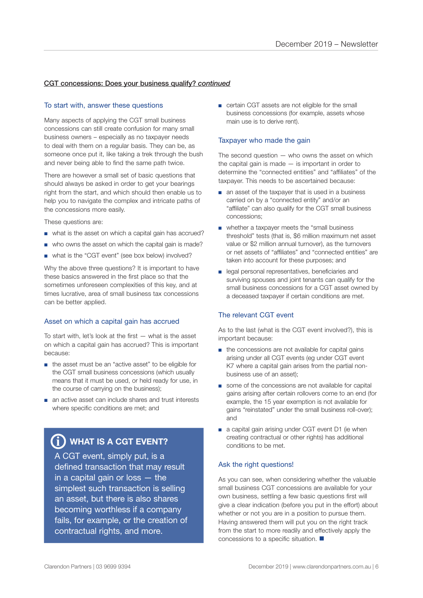#### CGT concessions: Does your business qualify? *continued*

#### To start with, answer these questions

Many aspects of applying the CGT small business concessions can still create confusion for many small business owners – especially as no taxpayer needs to deal with them on a regular basis. They can be, as someone once put it, like taking a trek through the bush and never being able to find the same path twice.

There are however a small set of basic questions that should always be asked in order to get your bearings right from the start, and which should then enable us to help you to navigate the complex and intricate paths of the concessions more easily.

These questions are:

- what is the asset on which a capital gain has accrued?
- who owns the asset on which the capital gain is made?
- what is the "CGT event" (see box below) involved?

Why the above three questions? It is important to have these basics answered in the first place so that the sometimes unforeseen complexities of this key, and at times lucrative, area of small business tax concessions can be better applied.

#### Asset on which a capital gain has accrued

To start with, let's look at the first — what is the asset on which a capital gain has accrued? This is important because:

- the asset must be an "active asset" to be eligible for the CGT small business concessions (which usually means that it must be used, or held ready for use, in the course of carrying on the business);
- an active asset can include shares and trust interests where specific conditions are met; and

#### $\bf \hat{j}$ ) WHAT IS A CGT EVENT?

A CGT event, simply put, is a defined transaction that may result in a capital gain or loss — the simplest such transaction is selling an asset, but there is also shares becoming worthless if a company fails, for example, or the creation of contractual rights, and more.

■ certain CGT assets are not eligible for the small business concessions (for example, assets whose main use is to derive rent).

#### Taxpayer who made the gain

The second question  $-$  who owns the asset on which the capital gain is made  $-$  is important in order to determine the "connected entities" and "affiliates" of the taxpayer. This needs to be ascertained because:

- an asset of the taxpayer that is used in a business carried on by a "connected entity" and/or an "affiliate" can also qualify for the CGT small business concessions;
- whether a taxpayer meets the "small business threshold" tests (that is, \$6 million maximum net asset value or \$2 million annual turnover), as the turnovers or net assets of "affiliates" and "connected entities" are taken into account for these purposes; and
- legal personal representatives, beneficiaries and surviving spouses and joint tenants can qualify for the small business concessions for a CGT asset owned by a deceased taxpayer if certain conditions are met.

#### The relevant CGT event

As to the last (what is the CGT event involved?), this is important because:

- the concessions are not available for capital gains arising under all CGT events (eg under CGT event K7 where a capital gain arises from the partial nonbusiness use of an asset);
- some of the concessions are not available for capital gains arising after certain rollovers come to an end (for example, the 15 year exemption is not available for gains "reinstated" under the small business roll-over); and
- a capital gain arising under CGT event D1 (ie when creating contractual or other rights) has additional conditions to be met.

#### Ask the right questions!

As you can see, when considering whether the valuable small business CGT concessions are available for your own business, settling a few basic questions first will give a clear indication (before you put in the effort) about whether or not you are in a position to pursue them. Having answered them will put you on the right track from the start to more readily and effectively apply the concessions to a specific situation.  $\blacksquare$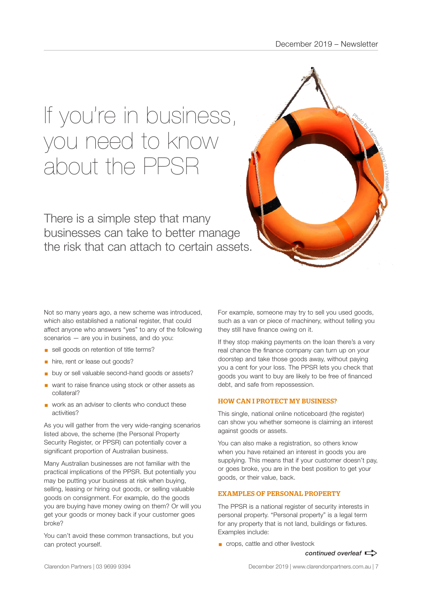## If you're in business, you need to know about the PPSR

There is a simple step that many businesses can take to better manage the risk that can attach to certain assets.



Not so many years ago, a new scheme was introduced, which also established a national register, that could affect anyone who answers "yes" to any of the following scenarios — are you in business, and do you:

- sell goods on retention of title terms?
- **•** hire, rent or lease out goods?
- buy or sell valuable second-hand goods or assets?
- want to raise finance using stock or other assets as collateral?
- work as an adviser to clients who conduct these activities?

As you will gather from the very wide-ranging scenarios listed above, the scheme (the Personal Property Security Register, or PPSR) can potentially cover a significant proportion of Australian business.

Many Australian businesses are not familiar with the practical implications of the PPSR. But potentially you may be putting your business at risk when buying, selling, leasing or hiring out goods, or selling valuable goods on consignment. For example, do the goods you are buying have money owing on them? Or will you get your goods or money back if your customer goes broke?

You can't avoid these common transactions, but you can protect yourself.

For example, someone may try to sell you used goods, such as a van or piece of machinery, without telling you they still have finance owing on it.

If they stop making payments on the loan there's a very real chance the finance company can turn up on your doorstep and take those goods away, without paying you a cent for your loss. The PPSR lets you check that goods you want to buy are likely to be free of financed debt, and safe from repossession.

#### HOW CAN I PROTECT MY BUSINESS?

This single, national online noticeboard (the register) can show you whether someone is claiming an interest against goods or assets.

You can also make a registration, so others know when you have retained an interest in goods you are supplying. This means that if your customer doesn't pay, or goes broke, you are in the best position to get your goods, or their value, back.

#### EXAMPLES OF PERSONAL PROPERTY

The PPSR is a national register of security interests in personal property. "Personal property" is a legal term for any property that is not land, buildings or fixtures. Examples include:

■ crops, cattle and other livestock

*continued overleaf*  $\Rightarrow$